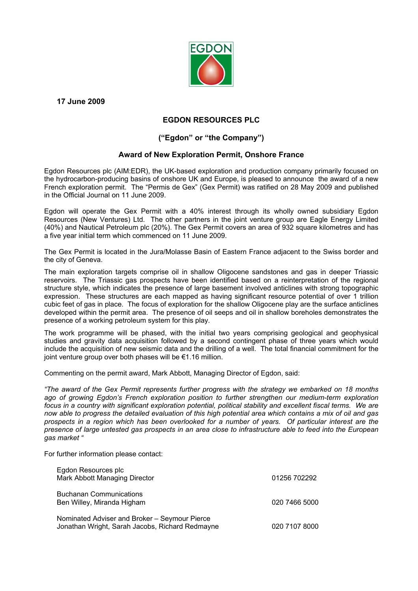

**17 June 2009** 

## **EGDON RESOURCES PLC**

# **("Egdon" or "the Company")**

## **Award of New Exploration Permit, Onshore France**

Egdon Resources plc (AIM:EDR), the UK-based exploration and production company primarily focused on the hydrocarbon-producing basins of onshore UK and Europe, is pleased to announce the award of a new French exploration permit. The "Permis de Gex" (Gex Permit) was ratified on 28 May 2009 and published in the Official Journal on 11 June 2009.

Egdon will operate the Gex Permit with a 40% interest through its wholly owned subsidiary Egdon Resources (New Ventures) Ltd. The other partners in the joint venture group are Eagle Energy Limited (40%) and Nautical Petroleum plc (20%). The Gex Permit covers an area of 932 square kilometres and has a five year initial term which commenced on 11 June 2009.

The Gex Permit is located in the Jura/Molasse Basin of Eastern France adjacent to the Swiss border and the city of Geneva.

The main exploration targets comprise oil in shallow Oligocene sandstones and gas in deeper Triassic reservoirs. The Triassic gas prospects have been identified based on a reinterpretation of the regional structure style, which indicates the presence of large basement involved anticlines with strong topographic expression. These structures are each mapped as having significant resource potential of over 1 trillion cubic feet of gas in place. The focus of exploration for the shallow Oligocene play are the surface anticlines developed within the permit area. The presence of oil seeps and oil in shallow boreholes demonstrates the presence of a working petroleum system for this play.

The work programme will be phased, with the initial two years comprising geological and geophysical studies and gravity data acquisition followed by a second contingent phase of three years which would include the acquisition of new seismic data and the drilling of a well. The total financial commitment for the joint venture group over both phases will be €1.16 million.

Commenting on the permit award, Mark Abbott, Managing Director of Egdon, said:

*"The award of the Gex Permit represents further progress with the strategy we embarked on 18 months ago of growing Egdon's French exploration position to further strengthen our medium-term exploration focus in a country with significant exploration potential, political stability and excellent fiscal terms. We are now able to progress the detailed evaluation of this high potential area which contains a mix of oil and gas prospects in a region which has been overlooked for a number of years. Of particular interest are the presence of large untested gas prospects in an area close to infrastructure able to feed into the European gas market "* 

For further information please contact:

| Egdon Resources plc<br>Mark Abbott Managing Director                                             | 01256 702292  |
|--------------------------------------------------------------------------------------------------|---------------|
| <b>Buchanan Communications</b><br>Ben Willey, Miranda Higham                                     | 020 7466 5000 |
| Nominated Adviser and Broker – Seymour Pierce<br>Jonathan Wright, Sarah Jacobs, Richard Redmayne | 020 7107 8000 |